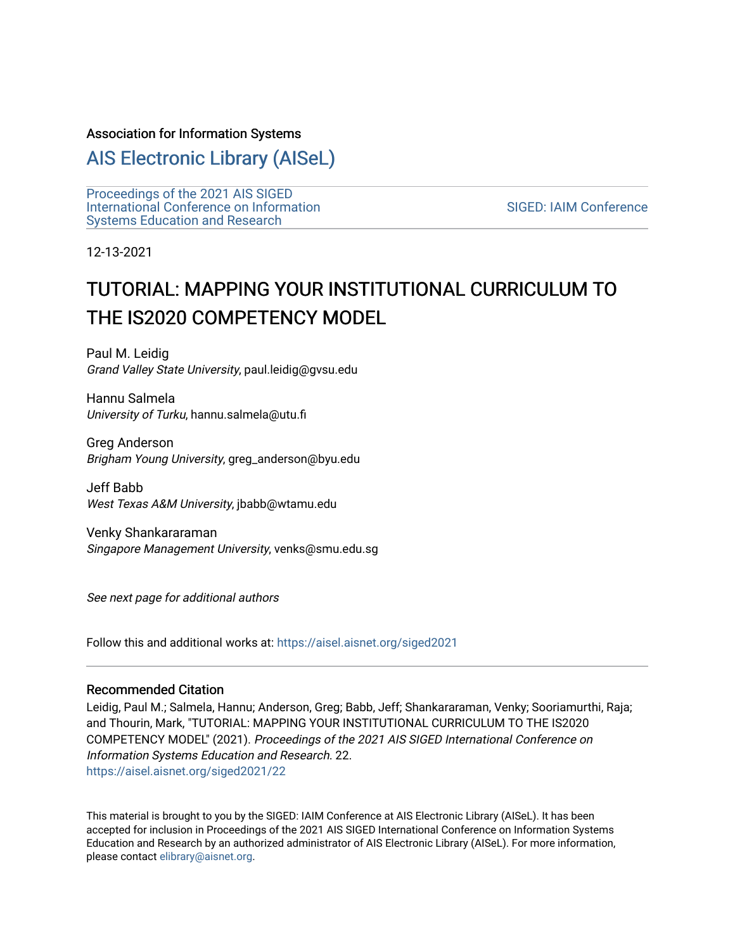#### Association for Information Systems

# [AIS Electronic Library \(AISeL\)](https://aisel.aisnet.org/)

[Proceedings of the 2021 AIS SIGED](https://aisel.aisnet.org/siged2021) [International Conference on Information](https://aisel.aisnet.org/siged2021) [Systems Education and Research](https://aisel.aisnet.org/siged2021) 

[SIGED: IAIM Conference](https://aisel.aisnet.org/siged) 

12-13-2021

# TUTORIAL: MAPPING YOUR INSTITUTIONAL CURRICULUM TO THE IS2020 COMPETENCY MODEL

Paul M. Leidig Grand Valley State University, paul.leidig@gvsu.edu

Hannu Salmela University of Turku, hannu.salmela@utu.fi

Greg Anderson Brigham Young University, greg\_anderson@byu.edu

Jeff Babb West Texas A&M University, jbabb@wtamu.edu

Venky Shankararaman Singapore Management University, venks@smu.edu.sg

See next page for additional authors

Follow this and additional works at: [https://aisel.aisnet.org/siged2021](https://aisel.aisnet.org/siged2021?utm_source=aisel.aisnet.org%2Fsiged2021%2F22&utm_medium=PDF&utm_campaign=PDFCoverPages) 

#### Recommended Citation

Leidig, Paul M.; Salmela, Hannu; Anderson, Greg; Babb, Jeff; Shankararaman, Venky; Sooriamurthi, Raja; and Thourin, Mark, "TUTORIAL: MAPPING YOUR INSTITUTIONAL CURRICULUM TO THE IS2020 COMPETENCY MODEL" (2021). Proceedings of the 2021 AIS SIGED International Conference on Information Systems Education and Research. 22. [https://aisel.aisnet.org/siged2021/22](https://aisel.aisnet.org/siged2021/22?utm_source=aisel.aisnet.org%2Fsiged2021%2F22&utm_medium=PDF&utm_campaign=PDFCoverPages)

This material is brought to you by the SIGED: IAIM Conference at AIS Electronic Library (AISeL). It has been accepted for inclusion in Proceedings of the 2021 AIS SIGED International Conference on Information Systems Education and Research by an authorized administrator of AIS Electronic Library (AISeL). For more information, please contact [elibrary@aisnet.org](mailto:elibrary@aisnet.org%3E).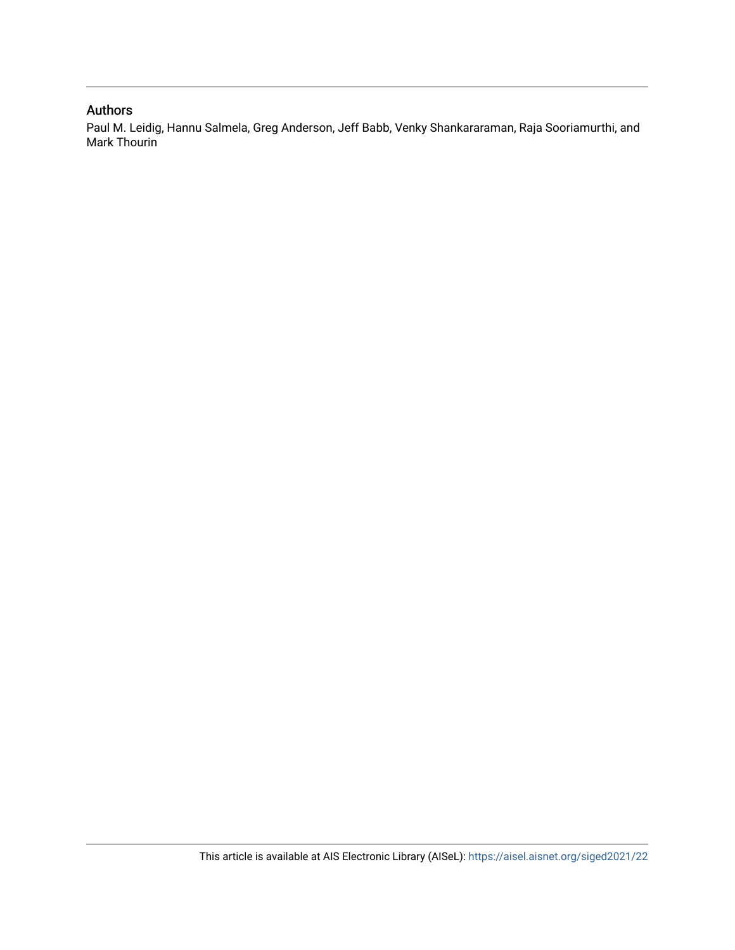#### Authors

Paul M. Leidig, Hannu Salmela, Greg Anderson, Jeff Babb, Venky Shankararaman, Raja Sooriamurthi, and Mark Thourin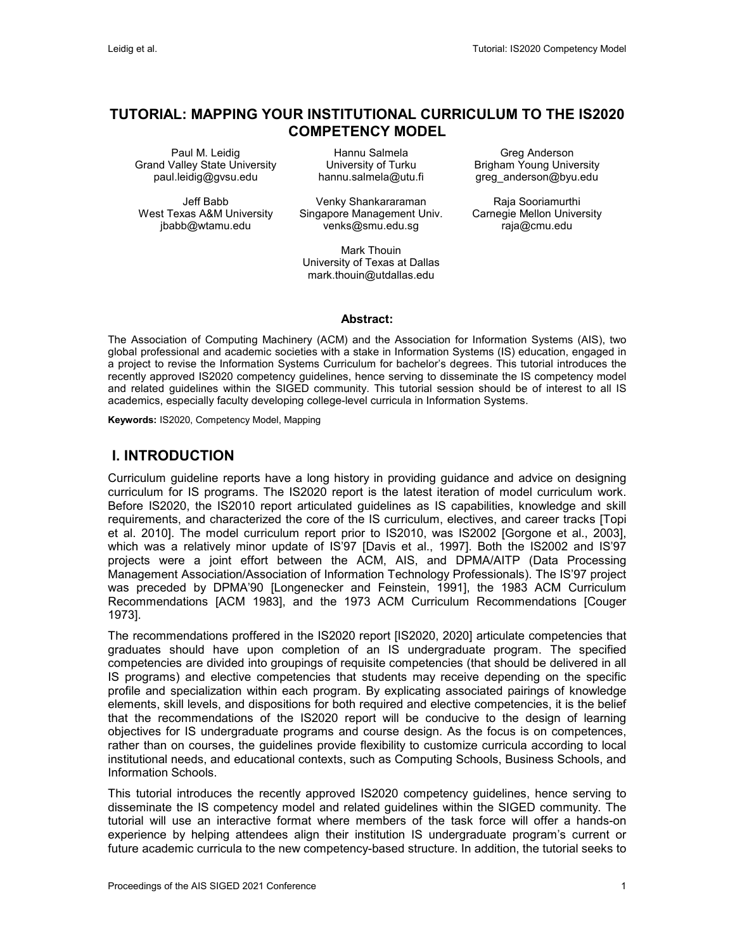## **TUTORIAL: MAPPING YOUR INSTITUTIONAL CURRICULUM TO THE IS2020 COMPETENCY MODEL**

Paul M. Leidig Grand Valley State University paul.leidig@gvsu.edu

Jeff Babb West Texas A&M University jbabb@wtamu.edu

Hannu Salmela University of Turku hannu.salmela@utu.fi

Venky Shankararaman Singapore Management Univ. venks@smu.edu.sg

Mark Thouin University of Texas at Dallas mark.thouin@utdallas.edu

Greg Anderson Brigham Young University greg\_anderson@byu.edu

Raja Sooriamurthi Carnegie Mellon University raja@cmu.edu

**Abstract:**

The Association of Computing Machinery (ACM) and the Association for Information Systems (AIS), two global professional and academic societies with a stake in Information Systems (IS) education, engaged in a project to revise the Information Systems Curriculum for bachelor's degrees. This tutorial introduces the recently approved IS2020 competency guidelines, hence serving to disseminate the IS competency model and related guidelines within the SIGED community. This tutorial session should be of interest to all IS academics, especially faculty developing college-level curricula in Information Systems.

**Keywords:** IS2020, Competency Model, Mapping

# **I. INTRODUCTION**

Curriculum guideline reports have a long history in providing guidance and advice on designing curriculum for IS programs. The IS2020 report is the latest iteration of model curriculum work. Before IS2020, the IS2010 report articulated guidelines as IS capabilities, knowledge and skill requirements, and characterized the core of the IS curriculum, electives, and career tracks [Topi et al. 2010]. The model curriculum report prior to IS2010, was IS2002 [Gorgone et al., 2003], which was a relatively minor update of IS'97 [Davis et al., 1997]. Both the IS2002 and IS'97 projects were a joint effort between the ACM, AIS, and DPMA/AITP (Data Processing Management Association/Association of Information Technology Professionals). The IS'97 project was preceded by DPMA'90 [Longenecker and Feinstein, 1991], the 1983 ACM Curriculum Recommendations [ACM 1983], and the 1973 ACM Curriculum Recommendations [Couger 1973].

The recommendations proffered in the IS2020 report [IS2020, 2020] articulate competencies that graduates should have upon completion of an IS undergraduate program. The specified competencies are divided into groupings of requisite competencies (that should be delivered in all IS programs) and elective competencies that students may receive depending on the specific profile and specialization within each program. By explicating associated pairings of knowledge elements, skill levels, and dispositions for both required and elective competencies, it is the belief that the recommendations of the IS2020 report will be conducive to the design of learning objectives for IS undergraduate programs and course design. As the focus is on competences, rather than on courses, the guidelines provide flexibility to customize curricula according to local institutional needs, and educational contexts, such as Computing Schools, Business Schools, and Information Schools.

This tutorial introduces the recently approved IS2020 competency guidelines, hence serving to disseminate the IS competency model and related guidelines within the SIGED community. The tutorial will use an interactive format where members of the task force will offer a hands-on experience by helping attendees align their institution IS undergraduate program's current or future academic curricula to the new competency-based structure. In addition, the tutorial seeks to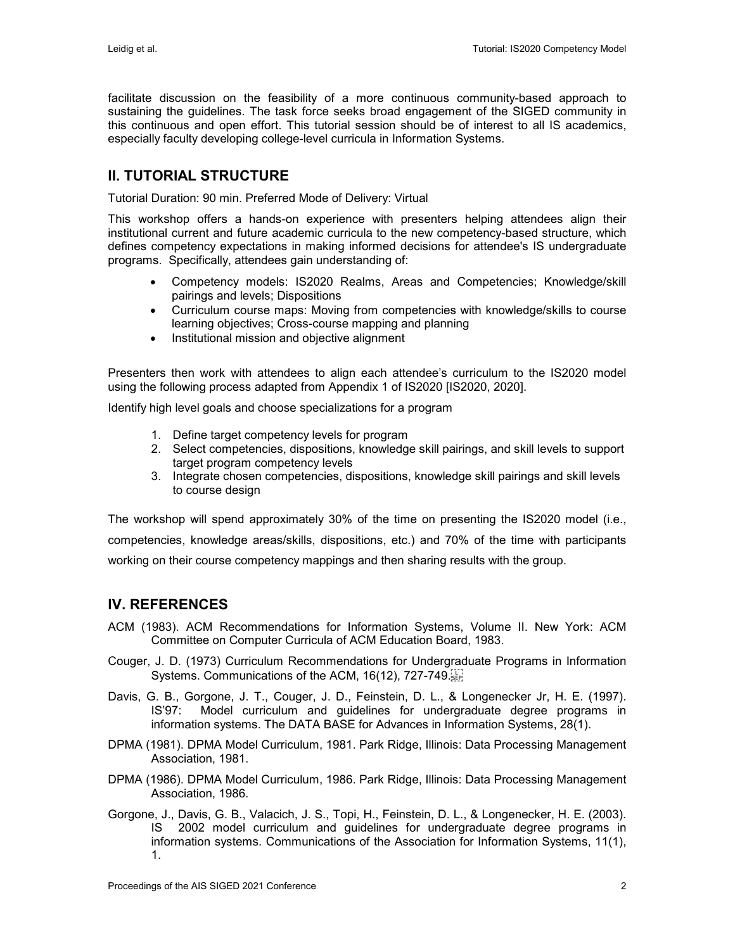facilitate discussion on the feasibility of a more continuous community-based approach to sustaining the guidelines. The task force seeks broad engagement of the SIGED community in this continuous and open effort. This tutorial session should be of interest to all IS academics, especially faculty developing college-level curricula in Information Systems.

# **II. TUTORIAL STRUCTURE**

Tutorial Duration: 90 min. Preferred Mode of Delivery: Virtual

This workshop offers a hands-on experience with presenters helping attendees align their institutional current and future academic curricula to the new competency-based structure, which defines competency expectations in making informed decisions for attendee's IS undergraduate programs. Specifically, attendees gain understanding of:

- Competency models: IS2020 Realms, Areas and Competencies; Knowledge/skill pairings and levels; Dispositions
- Curriculum course maps: Moving from competencies with knowledge/skills to course learning objectives; Cross-course mapping and planning
- Institutional mission and objective alignment

Presenters then work with attendees to align each attendee's curriculum to the IS2020 model using the following process adapted from Appendix 1 of IS2020 [IS2020, 2020].

Identify high level goals and choose specializations for a program

- 1. Define target competency levels for program
- 2. Select competencies, dispositions, knowledge skill pairings, and skill levels to support target program competency levels
- 3. Integrate chosen competencies, dispositions, knowledge skill pairings and skill levels to course design

The workshop will spend approximately 30% of the time on presenting the IS2020 model (i.e., competencies, knowledge areas/skills, dispositions, etc.) and 70% of the time with participants working on their course competency mappings and then sharing results with the group.

## **IV. REFERENCES**

- ACM (1983). ACM Recommendations for Information Systems, Volume II. New York: ACM Committee on Computer Curricula of ACM Education Board, 1983.
- Couger, J. D. (1973) Curriculum Recommendations for Undergraduate Programs in Information Systems. Communications of the ACM, 16(12), 727-749.
- Davis, G. B., Gorgone, J. T., Couger, J. D., Feinstein, D. L., & Longenecker Jr, H. E. (1997). IS'97: Model curriculum and guidelines for undergraduate degree programs in information systems. The DATA BASE for Advances in Information Systems, 28(1).
- DPMA (1981). DPMA Model Curriculum, 1981. Park Ridge, Illinois: Data Processing Management Association, 1981.
- DPMA (1986). DPMA Model Curriculum, 1986. Park Ridge, Illinois: Data Processing Management Association, 1986.
- Gorgone, J., Davis, G. B., Valacich, J. S., Topi, H., Feinstein, D. L., & Longenecker, H. E. (2003). IS 2002 model curriculum and guidelines for undergraduate degree programs in information systems. Communications of the Association for Information Systems, 11(1), 1.